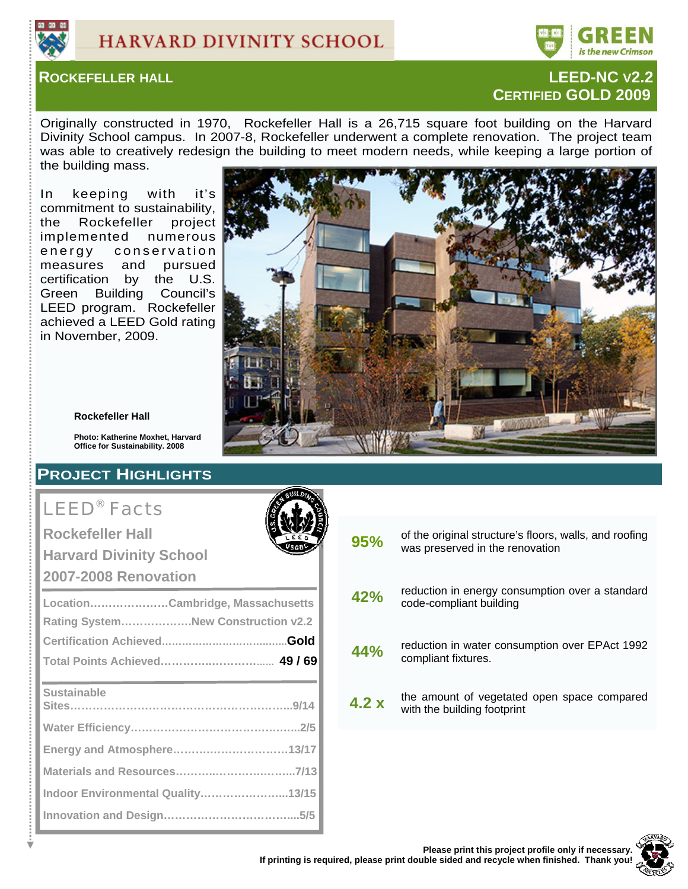



## **ROCKEFELLER HALL LEED-NC V2.2 CERTIFIED GOLD 2009**

Originally constructed in 1970, Rockefeller Hall is a 26,715 square foot building on the Harvard Divinity School campus. In 2007-8, Rockefeller underwent a complete renovation. The project team was able to creatively redesign the building to meet modern needs, while keeping a large portion of the building mass.

In keeping with it's commitment to sustainability, the Rockefeller project implemented numerous energy conservation measures and pursued certification by the U.S. Green Building Council's LEED program. Rockefeller achieved a LEED Gold rating in November, 2009.



#### **Rockefeller Hall**

**Photo: Katherine Moxhet, Harvard Office for Sustainability. 2008**

## **PROJECT HIGHLIGHTS**

# LEED® Facts

**Rockefeller Hall** 

**Harvard Divinity School** 

**2007-2008 Renovation**

| LocationCambridge, Massachusetts   |  |
|------------------------------------|--|
| Rating SystemNew Construction v2.2 |  |
|                                    |  |
|                                    |  |
| <b>Sustainable</b>                 |  |
|                                    |  |
| Energy and Atmosphere13/17         |  |
|                                    |  |
| Indoor Environmental Quality13/15  |  |
|                                    |  |

| 95%  | of the original structure's floors, walls, and roofing<br>was preserved in the renovation |
|------|-------------------------------------------------------------------------------------------|
| 42%  | reduction in energy consumption over a standard<br>code-compliant building                |
| 44%  | reduction in water consumption over EPAct 1992<br>compliant fixtures.                     |
| 4.2x | the amount of vegetated open space compared<br>with the building footprint                |
|      |                                                                                           |

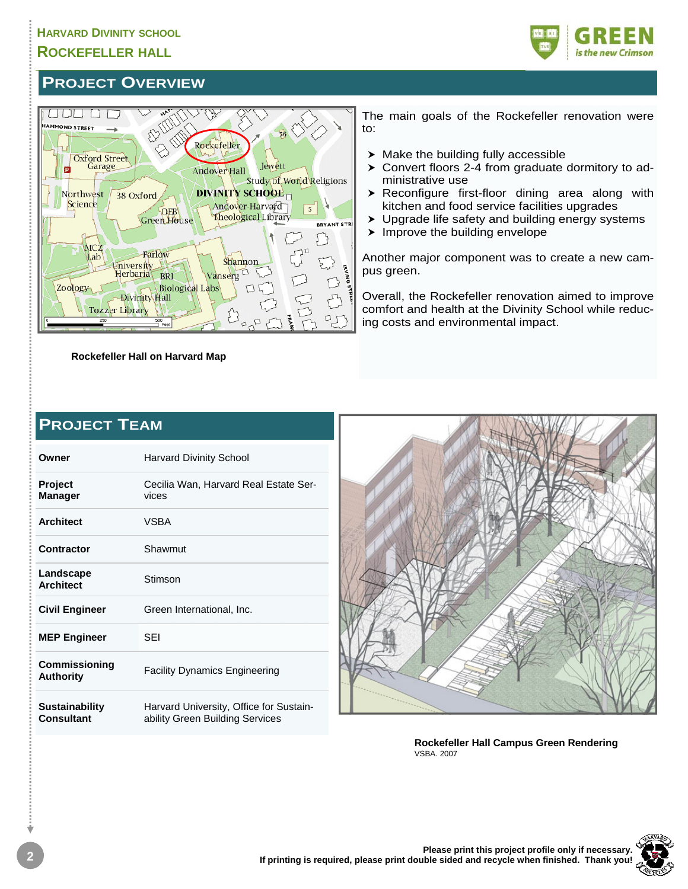## **ROCKEFELLER HALL**



## **PROJECT OVERVIEW**



**Rockefeller Hall on Harvard Map** 

The main goals of the Rockefeller renovation were to:

- $\blacktriangleright$  Make the building fully accessible
- $\triangleright$  Convert floors 2-4 from graduate dormitory to administrative use
- $\triangleright$  Reconfigure first-floor dining area along with kitchen and food service facilities upgrades
- $\triangleright$  Upgrade life safety and building energy systems
- $\blacktriangleright$  Improve the building envelope

Another major component was to create a new campus green.

Overall, the Rockefeller renovation aimed to improve comfort and health at the Divinity School while reducing costs and environmental impact.

| <b>PROJECT TEAM</b>                 |                                                                            |  |  |  |  |
|-------------------------------------|----------------------------------------------------------------------------|--|--|--|--|
| Owner                               | <b>Harvard Divinity School</b>                                             |  |  |  |  |
| <b>Project</b><br><b>Manager</b>    | Cecilia Wan, Harvard Real Estate Ser-<br>vices                             |  |  |  |  |
| <b>Architect</b>                    | <b>VSBA</b>                                                                |  |  |  |  |
| Contractor                          | Shawmut                                                                    |  |  |  |  |
| Landscape<br><b>Architect</b>       | Stimson                                                                    |  |  |  |  |
| <b>Civil Engineer</b>               | Green International, Inc.                                                  |  |  |  |  |
| <b>MEP Engineer</b>                 | SEI                                                                        |  |  |  |  |
| Commissioning<br><b>Authority</b>   | Facility Dynamics Engineering                                              |  |  |  |  |
| <b>Sustainability</b><br>Consultant | Harvard University, Office for Sustain-<br>ability Green Building Services |  |  |  |  |



**Rockefeller Hall Campus Green Rendering**  VSBA. 2007

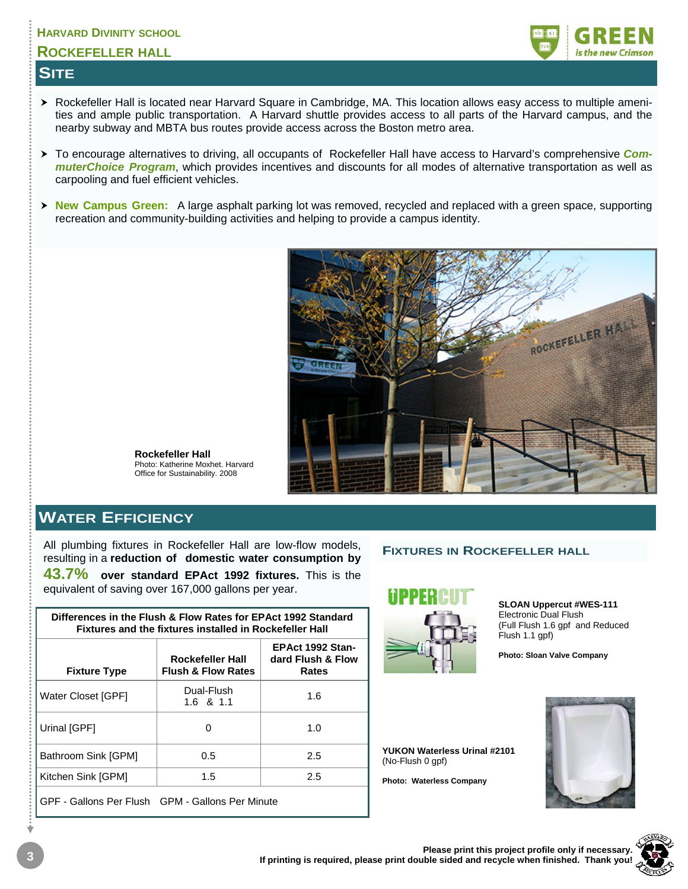## **ROCKEFELLER HALL**

## **SITE**



- ▶ Rockefeller Hall is located near Harvard Square in Cambridge, MA. This location allows easy access to multiple amenities and ample public transportation. A Harvard shuttle provides access to all parts of the Harvard campus, and the nearby subway and MBTA bus routes provide access across the Boston metro area.
- > To encourage alternatives to driving, all occupants of Rockefeller Hall have access to Harvard's comprehensive *CommuterChoice Program*, which provides incentives and discounts for all modes of alternative transportation as well as carpooling and fuel efficient vehicles.
- **▶ New Campus Green:** A large asphalt parking lot was removed, recycled and replaced with a green space, supporting recreation and community-building activities and helping to provide a campus identity.



**Rockefeller Hall**  Photo: Katherine Moxhet. Harvard Office for Sustainability. 2008

## **WATER EFFICIENCY**

All plumbing fixtures in Rockefeller Hall are low-flow models, resulting in a **reduction of domestic water consumption by 43.7% over standard EPAct 1992 fixtures.** This is the equivalent of saving over 167,000 gallons per year.

| Differences in the Flush & Flow Rates for EPAct 1992 Standard<br>Fixtures and the fixtures installed in Rockefeller Hall |                                                   |                                                       |  |  |  |  |
|--------------------------------------------------------------------------------------------------------------------------|---------------------------------------------------|-------------------------------------------------------|--|--|--|--|
| <b>Fixture Type</b>                                                                                                      | Rockefeller Hall<br><b>Flush &amp; Flow Rates</b> | <b>EPAct 1992 Stan-</b><br>dard Flush & Flow<br>Rates |  |  |  |  |
| Water Closet [GPF]                                                                                                       | Dual-Flush<br>$1.6 \text{ } 8 \text{ } 1.1$       | 1.6                                                   |  |  |  |  |
| Urinal [GPF]                                                                                                             | O                                                 | 1.0                                                   |  |  |  |  |
| Bathroom Sink [GPM]                                                                                                      | 0.5                                               | 2.5                                                   |  |  |  |  |
| Kitchen Sink [GPM]                                                                                                       | 1.5                                               | 2.5                                                   |  |  |  |  |
|                                                                                                                          |                                                   |                                                       |  |  |  |  |

GPF - Gallons Per Flush GPM - Gallons Per Minute

#### **FIXTURES IN ROCKEFELLER HALL**



**SLOAN Uppercut #WES-111**  Electronic Dual Flush (Full Flush 1.6 gpf and Reduced Flush 1.1 gpf)

**Photo: Sloan Valve Company**

**YUKON Waterless Urinal #2101**  (No-Flush 0 gpf)

**Photo: Waterless Company**



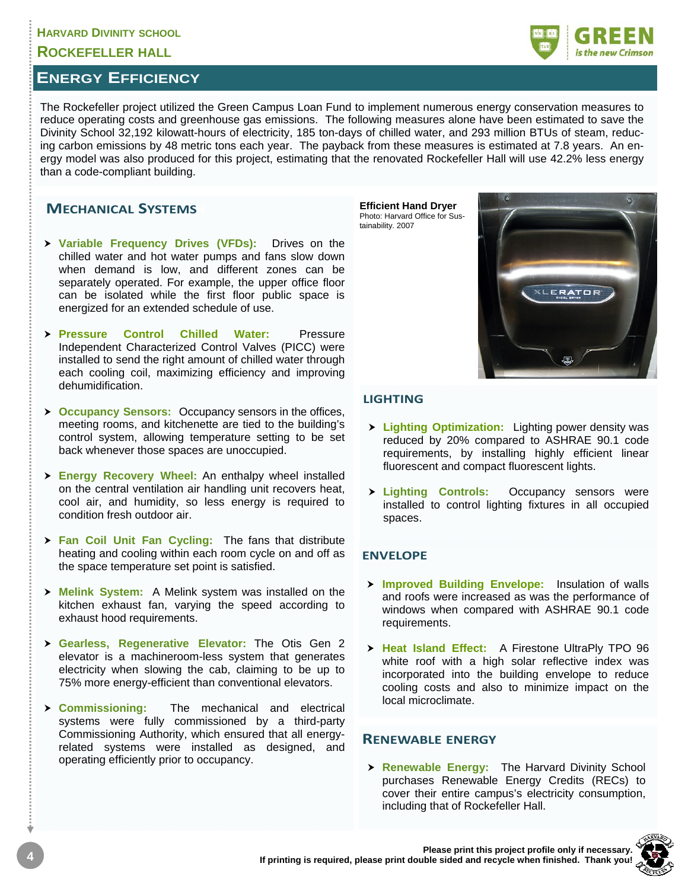#### **ROCKEFELLER HALL**

## **ENERGY EFFICIENCY**

The Rockefeller project utilized the Green Campus Loan Fund to implement numerous energy conservation measures to reduce operating costs and greenhouse gas emissions. The following measures alone have been estimated to save the Divinity School 32,192 kilowatt-hours of electricity, 185 ton-days of chilled water, and 293 million BTUs of steam, reducing carbon emissions by 48 metric tons each year. The payback from these measures is estimated at 7.8 years. An energy model was also produced for this project, estimating that the renovated Rockefeller Hall will use 42.2% less energy than a code-compliant building.

#### **MECHANICAL SYSTEMS**

- $\triangleright$  **Variable Frequency Drives (VFDs):** Drives on the chilled water and hot water pumps and fans slow down when demand is low, and different zones can be separately operated. For example, the upper office floor can be isolated while the first floor public space is energized for an extended schedule of use.
- **> Pressure Control Chilled Water:** Pressure Independent Characterized Control Valves (PICC) were installed to send the right amount of chilled water through each cooling coil, maximizing efficiency and improving dehumidification.
- **h Occupancy Sensors:** Occupancy sensors in the offices, meeting rooms, and kitchenette are tied to the building's control system, allowing temperature setting to be set back whenever those spaces are unoccupied.
- > **Energy Recovery Wheel:** An enthalpy wheel installed on the central ventilation air handling unit recovers heat, cool air, and humidity, so less energy is required to condition fresh outdoor air.
- > Fan Coil Unit Fan Cycling: The fans that distribute heating and cooling within each room cycle on and off as the space temperature set point is satisfied.
- > Melink System: A Melink system was installed on the kitchen exhaust fan, varying the speed according to exhaust hood requirements.
- h **Gearless, Regenerative Elevator:** The Otis Gen 2 elevator is a machineroom-less system that generates electricity when slowing the cab, claiming to be up to 75% more energy-efficient than conventional elevators.
- h **Commissioning:** The mechanical and electrical systems were fully commissioned by a third-party Commissioning Authority, which ensured that all energyrelated systems were installed as designed, and operating efficiently prior to occupancy.

**Efficient Hand Dryer**  Photo: Harvard Office for Sustainability. 2007



#### **LIGHTING**

- $\triangleright$  **Lighting Optimization:** Lighting power density was reduced by 20% compared to ASHRAE 90.1 code requirements, by installing highly efficient linear fluorescent and compact fluorescent lights.
- > Lighting Controls: Occupancy sensors were installed to control lighting fixtures in all occupied spaces.

#### **ENVELOPE**

- **h Improved Building Envelope:** Insulation of walls and roofs were increased as was the performance of windows when compared with ASHRAE 90.1 code requirements.
- > Heat Island Effect: A Firestone UltraPly TPO 96 white roof with a high solar reflective index was incorporated into the building envelope to reduce cooling costs and also to minimize impact on the local microclimate.

#### **RENEWABLE ENERGY**

**h Renewable Energy:** The Harvard Divinity School purchases Renewable Energy Credits (RECs) to cover their entire campus's electricity consumption, including that of Rockefeller Hall.



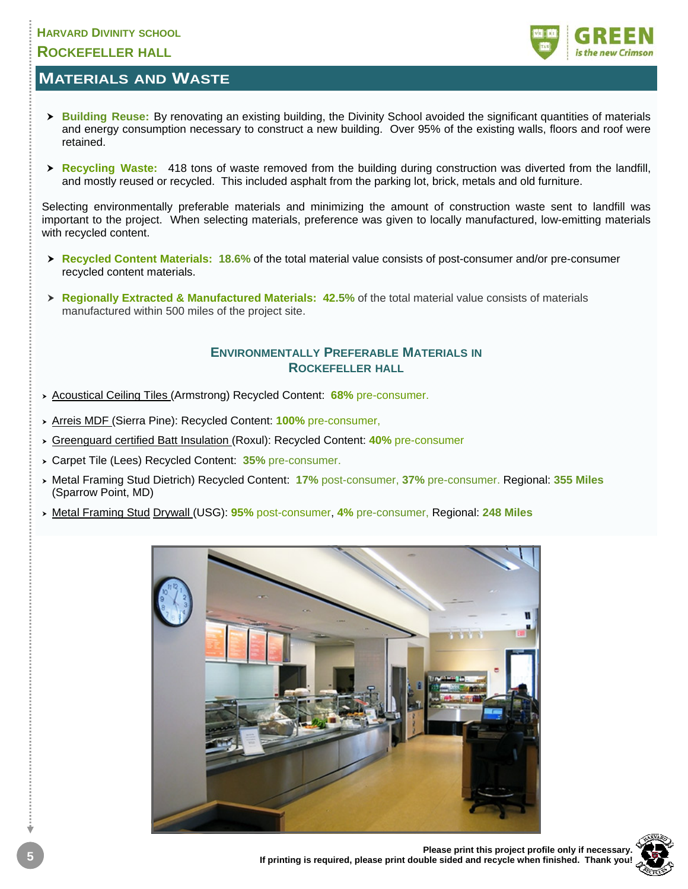## **HARVARD DIVINITY SCHOOL ROCKEFELLER HALL**

## **MATERIALS AND WASTE**

- **▶ Building Reuse:** By renovating an existing building, the Divinity School avoided the significant quantities of materials and energy consumption necessary to construct a new building. Over 95% of the existing walls, floors and roof were retained.
- **Recycling Waste:** 418 tons of waste removed from the building during construction was diverted from the landfill, and mostly reused or recycled. This included asphalt from the parking lot, brick, metals and old furniture.

Selecting environmentally preferable materials and minimizing the amount of construction waste sent to landfill was important to the project. When selecting materials, preference was given to locally manufactured, low-emitting materials with recycled content.

- **Executed Content Materials: 18.6%** of the total material value consists of post-consumer and/or pre-consumer recycled content materials.
- **Extracted & Manufactured Materials: 42.5%** of the total material value consists of materials **Regionally** Extracted & Manufactured Materials manufactured within 500 miles of the project site.

#### **ENVIRONMENTALLY PREFERABLE MATERIALS IN ROCKEFELLER HALL**

- **hacoustical Ceiling Tiles (Armstrong) Recycled Content: 68% pre-consumer.**
- > Arreis MDF (Sierra Pine): Recycled Content: **100%** pre-consumer,
- **Example 3 Are Exercise Content Insulation (Roxul): Recycled Content: 40% pre-consumer**
- **> Carpet Tile (Lees) Recycled Content: 35% pre-consumer.**
- **h** Metal Framing Stud Dietrich) Recycled Content: **17%** post-consumer, 37% pre-consumer. Regional: 355 Miles (Sparrow Point, MD)
- **h** Metal Framing Stud Drywall (USG): 95% post-consumer, 4% pre-consumer, Regional: 248 Miles